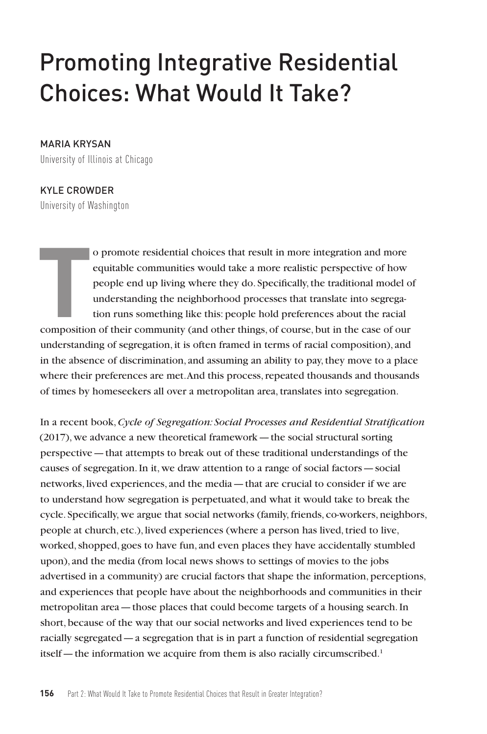# Promoting Integrative Residential Choices: What Would It Take?

#### MARIA KRYSAN

University of Illinois at Chicago

#### KYLE CROWDER

University of Washington

o promote residential choices that result in more integration and more equitable communities would take a more realistic perspective of how people end up living where they do. Specifically, the traditional model of underst o promote residential choices that result in more integration and more equitable communities would take a more realistic perspective of how people end up living where they do. Specifically, the traditional model of understanding the neighborhood processes that translate into segregation runs something like this: people hold preferences about the racial understanding of segregation, it is often framed in terms of racial composition), and in the absence of discrimination, and assuming an ability to pay, they move to a place where their preferences are met. And this process, repeated thousands and thousands of times by homeseekers all over a metropolitan area, translates into segregation.

In a recent book, *Cycle of Segregation: Social Processes and Residential Stratification*  (2017), we advance a new theoretical framework—the social structural sorting perspective—that attempts to break out of these traditional understandings of the causes of segregation. In it, we draw attention to a range of social factors—social networks, lived experiences, and the media—that are crucial to consider if we are to understand how segregation is perpetuated, and what it would take to break the cycle. Specifically, we argue that social networks (family, friends, co-workers, neighbors, people at church, etc.), lived experiences (where a person has lived, tried to live, worked, shopped, goes to have fun, and even places they have accidentally stumbled upon), and the media (from local news shows to settings of movies to the jobs advertised in a community) are crucial factors that shape the information, perceptions, and experiences that people have about the neighborhoods and communities in their metropolitan area—those places that could become targets of a housing search. In short, because of the way that our social networks and lived experiences tend to be racially segregated—a segregation that is in part a function of residential segregation itself—the information we acquire from them is also racially circumscribed.<sup>1</sup>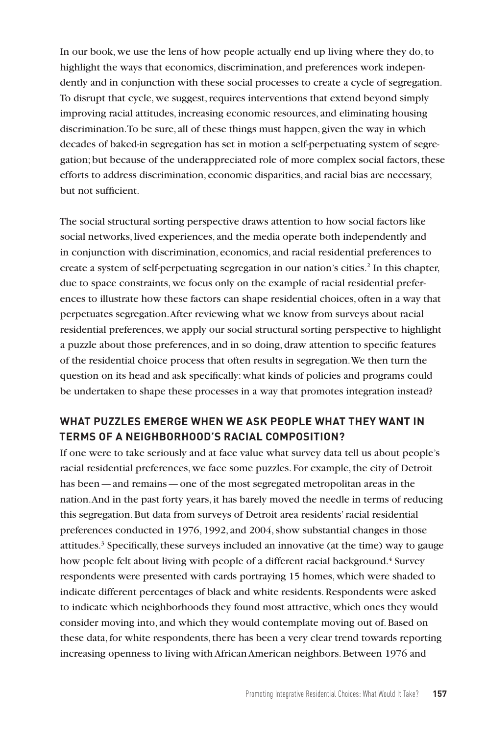In our book, we use the lens of how people actually end up living where they do, to highlight the ways that economics, discrimination, and preferences work independently and in conjunction with these social processes to create a cycle of segregation. To disrupt that cycle, we suggest, requires interventions that extend beyond simply improving racial attitudes, increasing economic resources, and eliminating housing discrimination. To be sure, all of these things must happen, given the way in which decades of baked-in segregation has set in motion a self-perpetuating system of segregation; but because of the underappreciated role of more complex social factors, these efforts to address discrimination, economic disparities, and racial bias are necessary, but not sufficient.

The social structural sorting perspective draws attention to how social factors like social networks, lived experiences, and the media operate both independently and in conjunction with discrimination, economics, and racial residential preferences to create a system of self-perpetuating segregation in our nation's cities.2 In this chapter, due to space constraints, we focus only on the example of racial residential preferences to illustrate how these factors can shape residential choices, often in a way that perpetuates segregation. After reviewing what we know from surveys about racial residential preferences, we apply our social structural sorting perspective to highlight a puzzle about those preferences, and in so doing, draw attention to specific features of the residential choice process that often results in segregation. We then turn the question on its head and ask specifically: what kinds of policies and programs could be undertaken to shape these processes in a way that promotes integration instead?

## **WHAT PUZZLES EMERGE WHEN WE ASK PEOPLE WHAT THEY WANT IN TERMS OF A NEIGHBORHOOD'S RACIAL COMPOSITION?**

If one were to take seriously and at face value what survey data tell us about people's racial residential preferences, we face some puzzles. For example, the city of Detroit has been—and remains—one of the most segregated metropolitan areas in the nation. And in the past forty years, it has barely moved the needle in terms of reducing this segregation. But data from surveys of Detroit area residents' racial residential preferences conducted in 1976, 1992, and 2004, show substantial changes in those attitudes.3 Specifically, these surveys included an innovative (at the time) way to gauge how people felt about living with people of a different racial background.<sup>4</sup> Survey respondents were presented with cards portraying 15 homes, which were shaded to indicate different percentages of black and white residents. Respondents were asked to indicate which neighborhoods they found most attractive, which ones they would consider moving into, and which they would contemplate moving out of. Based on these data, for white respondents, there has been a very clear trend towards reporting increasing openness to living with African American neighbors. Between 1976 and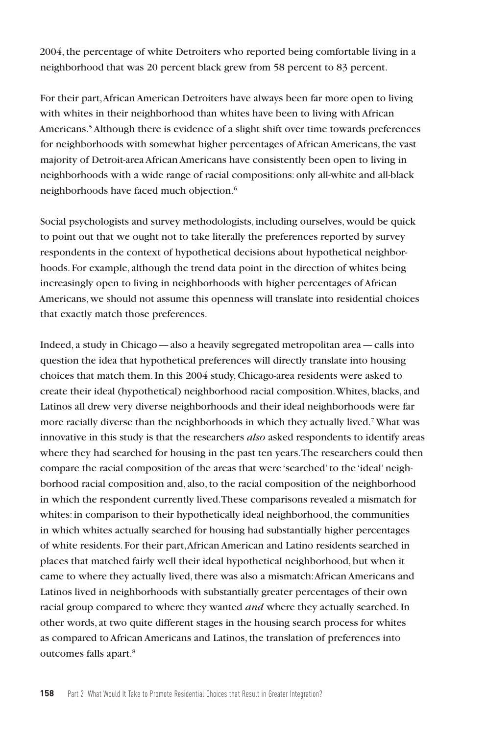2004, the percentage of white Detroiters who reported being comfortable living in a neighborhood that was 20 percent black grew from 58 percent to 83 percent.

For their part, African American Detroiters have always been far more open to living with whites in their neighborhood than whites have been to living with African Americans.5 Although there is evidence of a slight shift over time towards preferences for neighborhoods with somewhat higher percentages of African Americans, the vast majority of Detroit-area African Americans have consistently been open to living in neighborhoods with a wide range of racial compositions: only all-white and all-black neighborhoods have faced much objection.6

Social psychologists and survey methodologists, including ourselves, would be quick to point out that we ought not to take literally the preferences reported by survey respondents in the context of hypothetical decisions about hypothetical neighborhoods. For example, although the trend data point in the direction of whites being increasingly open to living in neighborhoods with higher percentages of African Americans, we should not assume this openness will translate into residential choices that exactly match those preferences.

Indeed, a study in Chicago—also a heavily segregated metropolitan area—calls into question the idea that hypothetical preferences will directly translate into housing choices that match them. In this 2004 study, Chicago-area residents were asked to create their ideal (hypothetical) neighborhood racial composition. Whites, blacks, and Latinos all drew very diverse neighborhoods and their ideal neighborhoods were far more racially diverse than the neighborhoods in which they actually lived.<sup>7</sup> What was innovative in this study is that the researchers *also* asked respondents to identify areas where they had searched for housing in the past ten years. The researchers could then compare the racial composition of the areas that were 'searched' to the 'ideal' neighborhood racial composition and, also, to the racial composition of the neighborhood in which the respondent currently lived. These comparisons revealed a mismatch for whites: in comparison to their hypothetically ideal neighborhood, the communities in which whites actually searched for housing had substantially higher percentages of white residents. For their part, African American and Latino residents searched in places that matched fairly well their ideal hypothetical neighborhood, but when it came to where they actually lived, there was also a mismatch: African Americans and Latinos lived in neighborhoods with substantially greater percentages of their own racial group compared to where they wanted *and* where they actually searched. In other words, at two quite different stages in the housing search process for whites as compared to African Americans and Latinos, the translation of preferences into outcomes falls apart.<sup>8</sup>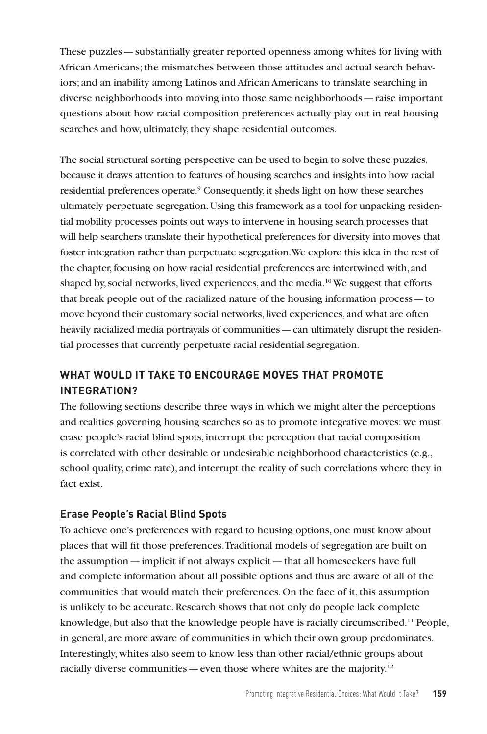These puzzles—substantially greater reported openness among whites for living with African Americans; the mismatches between those attitudes and actual search behaviors; and an inability among Latinos and African Americans to translate searching in diverse neighborhoods into moving into those same neighborhoods—raise important questions about how racial composition preferences actually play out in real housing searches and how, ultimately, they shape residential outcomes.

The social structural sorting perspective can be used to begin to solve these puzzles, because it draws attention to features of housing searches and insights into how racial residential preferences operate.<sup>9</sup> Consequently, it sheds light on how these searches ultimately perpetuate segregation. Using this framework as a tool for unpacking residential mobility processes points out ways to intervene in housing search processes that will help searchers translate their hypothetical preferences for diversity into moves that foster integration rather than perpetuate segregation. We explore this idea in the rest of the chapter, focusing on how racial residential preferences are intertwined with, and shaped by, social networks, lived experiences, and the media.<sup>10</sup> We suggest that efforts that break people out of the racialized nature of the housing information process—to move beyond their customary social networks, lived experiences, and what are often heavily racialized media portrayals of communities—can ultimately disrupt the residential processes that currently perpetuate racial residential segregation.

## **WHAT WOULD IT TAKE TO ENCOURAGE MOVES THAT PROMOTE INTEGRATION?**

The following sections describe three ways in which we might alter the perceptions and realities governing housing searches so as to promote integrative moves: we must erase people's racial blind spots, interrupt the perception that racial composition is correlated with other desirable or undesirable neighborhood characteristics (e.g., school quality, crime rate), and interrupt the reality of such correlations where they in fact exist.

## **Erase People's Racial Blind Spots**

To achieve one's preferences with regard to housing options, one must know about places that will fit those preferences. Traditional models of segregation are built on the assumption—implicit if not always explicit—that all homeseekers have full and complete information about all possible options and thus are aware of all of the communities that would match their preferences. On the face of it, this assumption is unlikely to be accurate. Research shows that not only do people lack complete knowledge, but also that the knowledge people have is racially circumscribed.<sup>11</sup> People, in general, are more aware of communities in which their own group predominates. Interestingly, whites also seem to know less than other racial/ethnic groups about racially diverse communities — even those where whites are the majority.<sup>12</sup>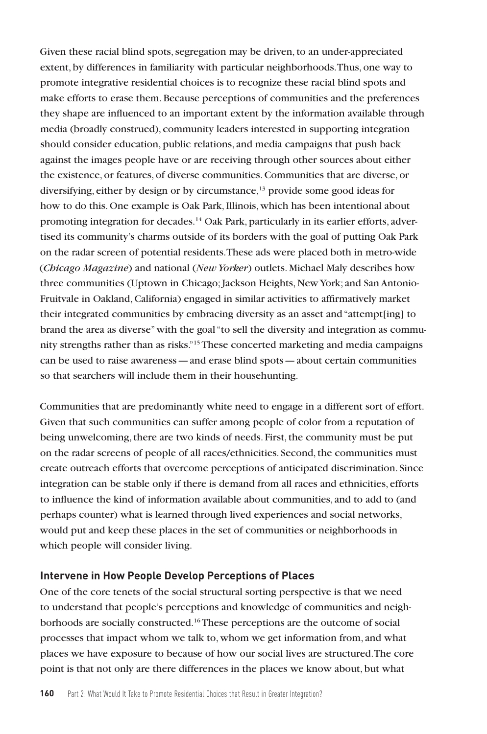Given these racial blind spots, segregation may be driven, to an under-appreciated extent, by differences in familiarity with particular neighborhoods. Thus, one way to promote integrative residential choices is to recognize these racial blind spots and make efforts to erase them. Because perceptions of communities and the preferences they shape are influenced to an important extent by the information available through media (broadly construed), community leaders interested in supporting integration should consider education, public relations, and media campaigns that push back against the images people have or are receiving through other sources about either the existence, or features, of diverse communities. Communities that are diverse, or diversifying, either by design or by circumstance,<sup>13</sup> provide some good ideas for how to do this. One example is Oak Park, Illinois, which has been intentional about promoting integration for decades.<sup>14</sup> Oak Park, particularly in its earlier efforts, advertised its community's charms outside of its borders with the goal of putting Oak Park on the radar screen of potential residents. These ads were placed both in metro-wide (*Chicago Magazine*) and national (*New Yorker*) outlets. Michael Maly describes how three communities (Uptown in Chicago; Jackson Heights, New York; and San Antonio-Fruitvale in Oakland, California) engaged in similar activities to affirmatively market their integrated communities by embracing diversity as an asset and "attempt[ing] to brand the area as diverse" with the goal "to sell the diversity and integration as community strengths rather than as risks."15 These concerted marketing and media campaigns can be used to raise awareness—and erase blind spots—about certain communities so that searchers will include them in their househunting.

Communities that are predominantly white need to engage in a different sort of effort. Given that such communities can suffer among people of color from a reputation of being unwelcoming, there are two kinds of needs. First, the community must be put on the radar screens of people of all races/ethnicities. Second, the communities must create outreach efforts that overcome perceptions of anticipated discrimination. Since integration can be stable only if there is demand from all races and ethnicities, efforts to influence the kind of information available about communities, and to add to (and perhaps counter) what is learned through lived experiences and social networks, would put and keep these places in the set of communities or neighborhoods in which people will consider living.

#### **Intervene in How People Develop Perceptions of Places**

One of the core tenets of the social structural sorting perspective is that we need to understand that people's perceptions and knowledge of communities and neighborhoods are socially constructed.<sup>16</sup> These perceptions are the outcome of social processes that impact whom we talk to, whom we get information from, and what places we have exposure to because of how our social lives are structured. The core point is that not only are there differences in the places we know about, but what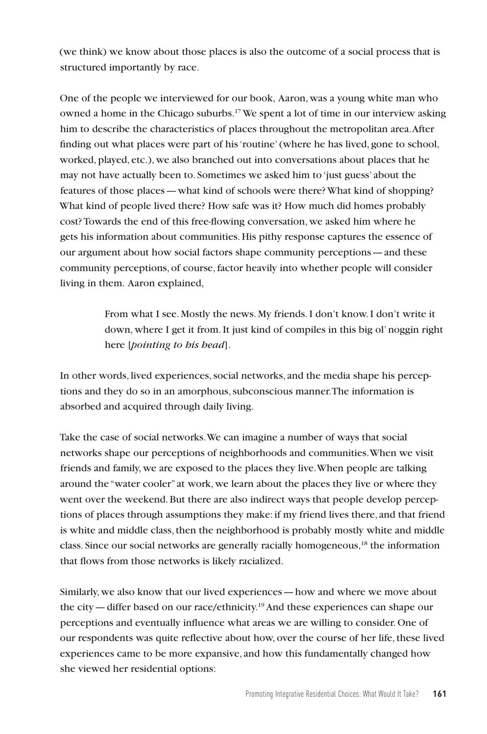(we think) we know about those places is also the outcome of a social process that is structured importantly by race.

One of the people we interviewed for our book, Aaron, was a young white man who owned a home in the Chicago suburbs.17 We spent a lot of time in our interview asking him to describe the characteristics of places throughout the metropolitan area. After finding out what places were part of his 'routine' (where he has lived, gone to school, worked, played, etc.), we also branched out into conversations about places that he may not have actually been to. Sometimes we asked him to 'just guess' about the features of those places—what kind of schools were there? What kind of shopping? What kind of people lived there? How safe was it? How much did homes probably cost? Towards the end of this free-flowing conversation, we asked him where he gets his information about communities. His pithy response captures the essence of our argument about how social factors shape community perceptions—and these community perceptions, of course, factor heavily into whether people will consider living in them. Aaron explained,

> From what I see. Mostly the news. My friends. I don't know. I don't write it down, where I get it from. It just kind of compiles in this big ol' noggin right here [*pointing to his head*].

In other words, lived experiences, social networks, and the media shape his perceptions and they do so in an amorphous, subconscious manner. The information is absorbed and acquired through daily living.

Take the case of social networks. We can imagine a number of ways that social networks shape our perceptions of neighborhoods and communities. When we visit friends and family, we are exposed to the places they live. When people are talking around the "water cooler" at work, we learn about the places they live or where they went over the weekend. But there are also indirect ways that people develop perceptions of places through assumptions they make: if my friend lives there, and that friend is white and middle class, then the neighborhood is probably mostly white and middle class. Since our social networks are generally racially homogeneous,<sup>18</sup> the information that flows from those networks is likely racialized.

Similarly, we also know that our lived experiences—how and where we move about the city—differ based on our race/ethnicity.19 And these experiences can shape our perceptions and eventually influence what areas we are willing to consider. One of our respondents was quite reflective about how, over the course of her life, these lived experiences came to be more expansive, and how this fundamentally changed how she viewed her residential options: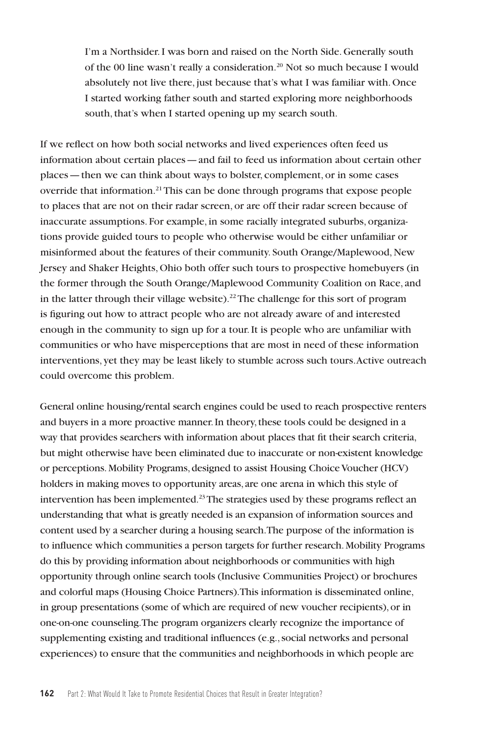I'm a Northsider. I was born and raised on the North Side. Generally south of the 00 line wasn't really a consideration.<sup>20</sup> Not so much because I would absolutely not live there, just because that's what I was familiar with. Once I started working father south and started exploring more neighborhoods south, that's when I started opening up my search south.

If we reflect on how both social networks and lived experiences often feed us information about certain places—and fail to feed us information about certain other places—then we can think about ways to bolster, complement, or in some cases override that information.<sup>21</sup>This can be done through programs that expose people to places that are not on their radar screen, or are off their radar screen because of inaccurate assumptions. For example, in some racially integrated suburbs, organizations provide guided tours to people who otherwise would be either unfamiliar or misinformed about the features of their community. South Orange/Maplewood, New Jersey and Shaker Heights, Ohio both offer such tours to prospective homebuyers (in the former through the South Orange/Maplewood Community Coalition on Race, and in the latter through their village website).<sup>22</sup> The challenge for this sort of program is figuring out how to attract people who are not already aware of and interested enough in the community to sign up for a tour. It is people who are unfamiliar with communities or who have misperceptions that are most in need of these information interventions, yet they may be least likely to stumble across such tours. Active outreach could overcome this problem.

General online housing/rental search engines could be used to reach prospective renters and buyers in a more proactive manner. In theory, these tools could be designed in a way that provides searchers with information about places that fit their search criteria, but might otherwise have been eliminated due to inaccurate or non-existent knowledge or perceptions. Mobility Programs, designed to assist Housing Choice Voucher (HCV) holders in making moves to opportunity areas, are one arena in which this style of intervention has been implemented.<sup>23</sup> The strategies used by these programs reflect an understanding that what is greatly needed is an expansion of information sources and content used by a searcher during a housing search. The purpose of the information is to influence which communities a person targets for further research. Mobility Programs do this by providing information about neighborhoods or communities with high opportunity through online search tools (Inclusive Communities Project) or brochures and colorful maps (Housing Choice Partners). This information is disseminated online, in group presentations (some of which are required of new voucher recipients), or in one-on-one counseling. The program organizers clearly recognize the importance of supplementing existing and traditional influences (e.g., social networks and personal experiences) to ensure that the communities and neighborhoods in which people are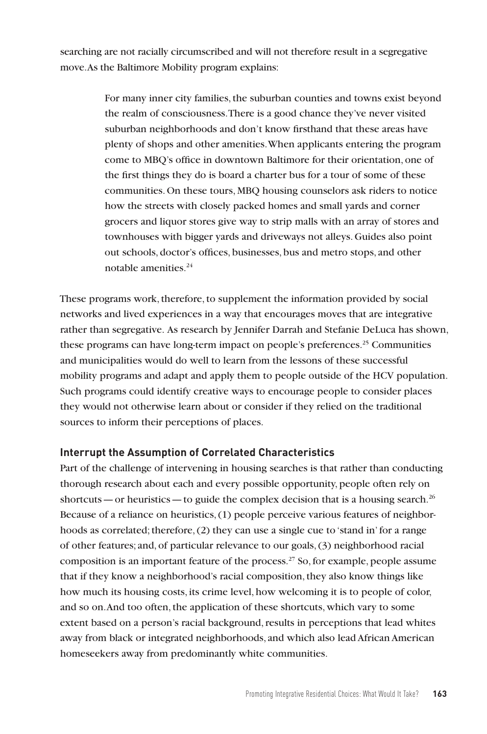searching are not racially circumscribed and will not therefore result in a segregative move. As the Baltimore Mobility program explains:

> For many inner city families, the suburban counties and towns exist beyond the realm of consciousness. There is a good chance they've never visited suburban neighborhoods and don't know firsthand that these areas have plenty of shops and other amenities. When applicants entering the program come to MBQ's office in downtown Baltimore for their orientation, one of the first things they do is board a charter bus for a tour of some of these communities. On these tours, MBQ housing counselors ask riders to notice how the streets with closely packed homes and small yards and corner grocers and liquor stores give way to strip malls with an array of stores and townhouses with bigger yards and driveways not alleys. Guides also point out schools, doctor's offices, businesses, bus and metro stops, and other notable amenities.24

These programs work, therefore, to supplement the information provided by social networks and lived experiences in a way that encourages moves that are integrative rather than segregative. As research by Jennifer Darrah and Stefanie DeLuca has shown, these programs can have long-term impact on people's preferences.<sup>25</sup> Communities and municipalities would do well to learn from the lessons of these successful mobility programs and adapt and apply them to people outside of the HCV population. Such programs could identify creative ways to encourage people to consider places they would not otherwise learn about or consider if they relied on the traditional sources to inform their perceptions of places.

### **Interrupt the Assumption of Correlated Characteristics**

Part of the challenge of intervening in housing searches is that rather than conducting thorough research about each and every possible opportunity, people often rely on shortcuts—or heuristics—to guide the complex decision that is a housing search.<sup>26</sup> Because of a reliance on heuristics, (1) people perceive various features of neighborhoods as correlated; therefore, (2) they can use a single cue to 'stand in' for a range of other features; and, of particular relevance to our goals, (3) neighborhood racial composition is an important feature of the process.27 So, for example, people assume that if they know a neighborhood's racial composition, they also know things like how much its housing costs, its crime level, how welcoming it is to people of color, and so on. And too often, the application of these shortcuts, which vary to some extent based on a person's racial background, results in perceptions that lead whites away from black or integrated neighborhoods, and which also lead African American homeseekers away from predominantly white communities.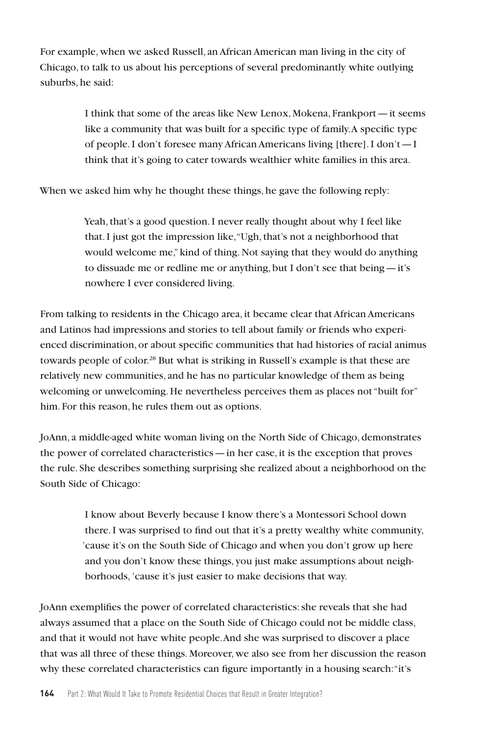For example, when we asked Russell, an African American man living in the city of Chicago, to talk to us about his perceptions of several predominantly white outlying suburbs, he said:

> I think that some of the areas like New Lenox, Mokena, Frankport—it seems like a community that was built for a specific type of family. A specific type of people. I don't foresee many African Americans living [there]. I don't—I think that it's going to cater towards wealthier white families in this area.

When we asked him why he thought these things, he gave the following reply:

Yeah, that's a good question. I never really thought about why I feel like that. I just got the impression like, "Ugh, that's not a neighborhood that would welcome me," kind of thing. Not saying that they would do anything to dissuade me or redline me or anything, but I don't see that being—it's nowhere I ever considered living.

From talking to residents in the Chicago area, it became clear that African Americans and Latinos had impressions and stories to tell about family or friends who experienced discrimination, or about specific communities that had histories of racial animus towards people of color.28 But what is striking in Russell's example is that these are relatively new communities, and he has no particular knowledge of them as being welcoming or unwelcoming. He nevertheless perceives them as places not "built for" him. For this reason, he rules them out as options.

JoAnn, a middle-aged white woman living on the North Side of Chicago, demonstrates the power of correlated characteristics—in her case, it is the exception that proves the rule. She describes something surprising she realized about a neighborhood on the South Side of Chicago:

> I know about Beverly because I know there's a Montessori School down there. I was surprised to find out that it's a pretty wealthy white community, 'cause it's on the South Side of Chicago and when you don't grow up here and you don't know these things, you just make assumptions about neighborhoods, 'cause it's just easier to make decisions that way.

JoAnn exemplifies the power of correlated characteristics: she reveals that she had always assumed that a place on the South Side of Chicago could not be middle class, and that it would not have white people. And she was surprised to discover a place that was all three of these things. Moreover, we also see from her discussion the reason why these correlated characteristics can figure importantly in a housing search: "it's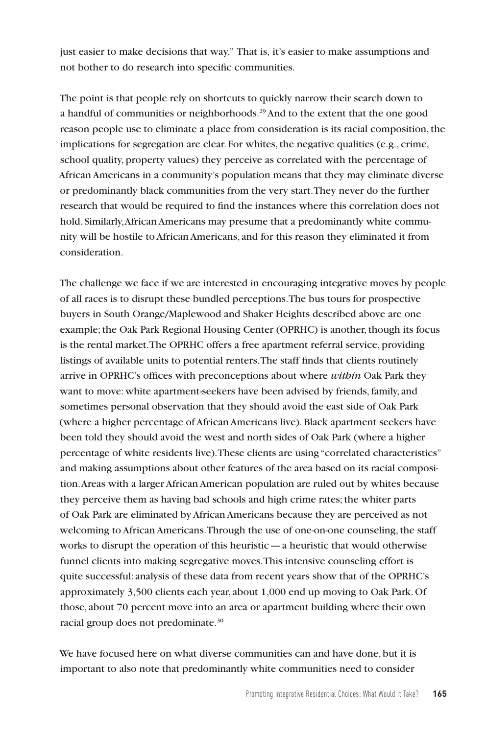just easier to make decisions that way." That is, it's easier to make assumptions and not bother to do research into specific communities.

The point is that people rely on shortcuts to quickly narrow their search down to a handful of communities or neighborhoods.<sup>29</sup> And to the extent that the one good reason people use to eliminate a place from consideration is its racial composition, the implications for segregation are clear. For whites, the negative qualities (e.g., crime, school quality, property values) they perceive as correlated with the percentage of African Americans in a community's population means that they may eliminate diverse or predominantly black communities from the very start. They never do the further research that would be required to find the instances where this correlation does not hold. Similarly, African Americans may presume that a predominantly white community will be hostile to African Americans, and for this reason they eliminated it from consideration.

The challenge we face if we are interested in encouraging integrative moves by people of all races is to disrupt these bundled perceptions. The bus tours for prospective buyers in South Orange/Maplewood and Shaker Heights described above are one example; the Oak Park Regional Housing Center (OPRHC) is another, though its focus is the rental market. The OPRHC offers a free apartment referral service, providing listings of available units to potential renters. The staff finds that clients routinely arrive in OPRHC's offices with preconceptions about where *within* Oak Park they want to move: white apartment-seekers have been advised by friends, family, and sometimes personal observation that they should avoid the east side of Oak Park (where a higher percentage of African Americans live). Black apartment seekers have been told they should avoid the west and north sides of Oak Park (where a higher percentage of white residents live). These clients are using "correlated characteristics" and making assumptions about other features of the area based on its racial composition. Areas with a larger African American population are ruled out by whites because they perceive them as having bad schools and high crime rates; the whiter parts of Oak Park are eliminated by African Americans because they are perceived as not welcoming to African Americans. Through the use of one-on-one counseling, the staff works to disrupt the operation of this heuristic—a heuristic that would otherwise funnel clients into making segregative moves. This intensive counseling effort is quite successful: analysis of these data from recent years show that of the OPRHC's approximately 3,500 clients each year, about 1,000 end up moving to Oak Park. Of those, about 70 percent move into an area or apartment building where their own racial group does not predominate.<sup>30</sup>

We have focused here on what diverse communities can and have done, but it is important to also note that predominantly white communities need to consider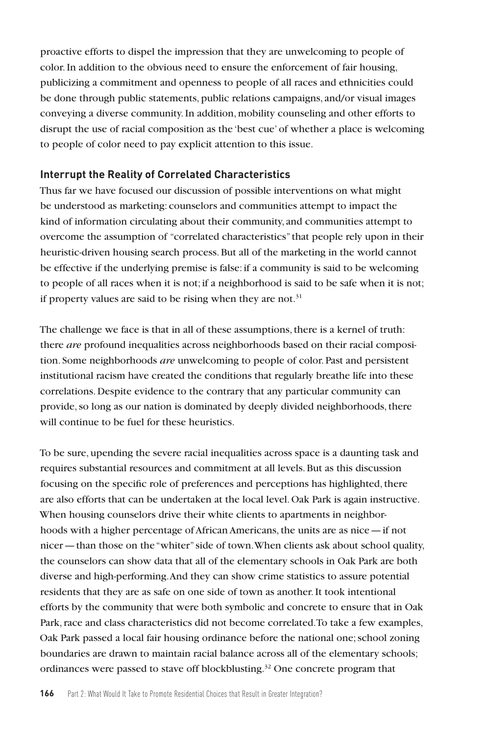proactive efforts to dispel the impression that they are unwelcoming to people of color. In addition to the obvious need to ensure the enforcement of fair housing, publicizing a commitment and openness to people of all races and ethnicities could be done through public statements, public relations campaigns, and/or visual images conveying a diverse community. In addition, mobility counseling and other efforts to disrupt the use of racial composition as the 'best cue' of whether a place is welcoming to people of color need to pay explicit attention to this issue.

### **Interrupt the Reality of Correlated Characteristics**

Thus far we have focused our discussion of possible interventions on what might be understood as marketing: counselors and communities attempt to impact the kind of information circulating about their community, and communities attempt to overcome the assumption of "correlated characteristics" that people rely upon in their heuristic-driven housing search process. But all of the marketing in the world cannot be effective if the underlying premise is false: if a community is said to be welcoming to people of all races when it is not; if a neighborhood is said to be safe when it is not; if property values are said to be rising when they are not. $31$ 

The challenge we face is that in all of these assumptions, there is a kernel of truth: there *are* profound inequalities across neighborhoods based on their racial composition. Some neighborhoods *are* unwelcoming to people of color. Past and persistent institutional racism have created the conditions that regularly breathe life into these correlations. Despite evidence to the contrary that any particular community can provide, so long as our nation is dominated by deeply divided neighborhoods, there will continue to be fuel for these heuristics.

To be sure, upending the severe racial inequalities across space is a daunting task and requires substantial resources and commitment at all levels. But as this discussion focusing on the specific role of preferences and perceptions has highlighted, there are also efforts that can be undertaken at the local level. Oak Park is again instructive. When housing counselors drive their white clients to apartments in neighborhoods with a higher percentage of African Americans, the units are as nice—if not nicer—than those on the "whiter" side of town. When clients ask about school quality, the counselors can show data that all of the elementary schools in Oak Park are both diverse and high-performing. And they can show crime statistics to assure potential residents that they are as safe on one side of town as another. It took intentional efforts by the community that were both symbolic and concrete to ensure that in Oak Park, race and class characteristics did not become correlated. To take a few examples, Oak Park passed a local fair housing ordinance before the national one; school zoning boundaries are drawn to maintain racial balance across all of the elementary schools; ordinances were passed to stave off blockblusting.<sup>32</sup> One concrete program that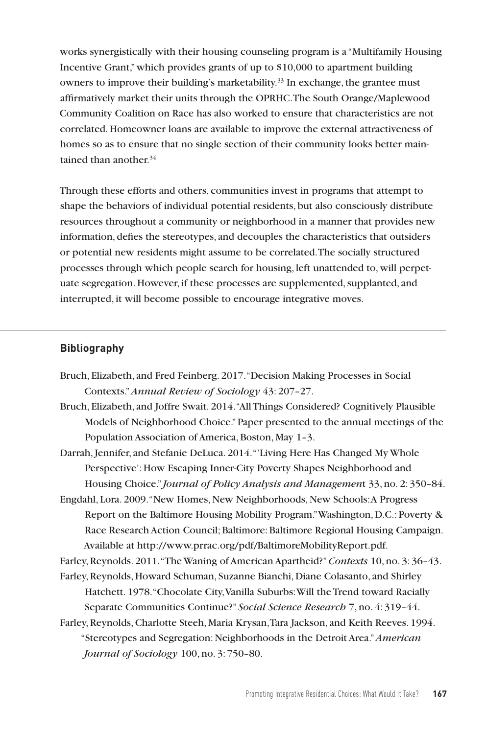works synergistically with their housing counseling program is a "Multifamily Housing Incentive Grant," which provides grants of up to \$10,000 to apartment building owners to improve their building's marketability.<sup>33</sup> In exchange, the grantee must affirmatively market their units through the OPRHC. The South Orange/Maplewood Community Coalition on Race has also worked to ensure that characteristics are not correlated. Homeowner loans are available to improve the external attractiveness of homes so as to ensure that no single section of their community looks better maintained than another  $34$ 

Through these efforts and others, communities invest in programs that attempt to shape the behaviors of individual potential residents, but also consciously distribute resources throughout a community or neighborhood in a manner that provides new information, defies the stereotypes, and decouples the characteristics that outsiders or potential new residents might assume to be correlated. The socially structured processes through which people search for housing, left unattended to, will perpetuate segregation. However, if these processes are supplemented, supplanted, and interrupted, it will become possible to encourage integrative moves.

#### **Bibliography**

- Bruch, Elizabeth, and Fred Feinberg. 2017. "Decision Making Processes in Social Contexts." *Annual Review of Sociology* 43: 207–27.
- Bruch, Elizabeth, and Joffre Swait. 2014. "All Things Considered? Cognitively Plausible Models of Neighborhood Choice." Paper presented to the annual meetings of the Population Association of America, Boston, May 1–3.
- Darrah, Jennifer, and Stefanie DeLuca. 2014. "'Living Here Has Changed My Whole Perspective': How Escaping Inner-City Poverty Shapes Neighborhood and Housing Choice." *Journal of Policy Analysis and Managemen*t 33, no. 2: 350–84.
- Engdahl, Lora. 2009. "New Homes, New Neighborhoods, New Schools: A Progress Report on the Baltimore Housing Mobility Program." Washington, D.C.: Poverty & Race Research Action Council; Baltimore: Baltimore Regional Housing Campaign. Available at http://www.prrac.org/pdf/BaltimoreMobilityReport.pdf.

Farley, Reynolds. 2011. "The Waning of American Apartheid?" *Contexts* 10, no. 3: 36–43. Farley, Reynolds, Howard Schuman, Suzanne Bianchi, Diane Colasanto, and Shirley

Hatchett. 1978. "Chocolate City, Vanilla Suburbs: Will the Trend toward Racially Separate Communities Continue?" *Social Science Research* 7, no. 4: 319–44.

Farley, Reynolds, Charlotte Steeh, Maria Krysan, Tara Jackson, and Keith Reeves. 1994. "Stereotypes and Segregation: Neighborhoods in the Detroit Area." *American Journal of Sociology* 100, no. 3: 750–80.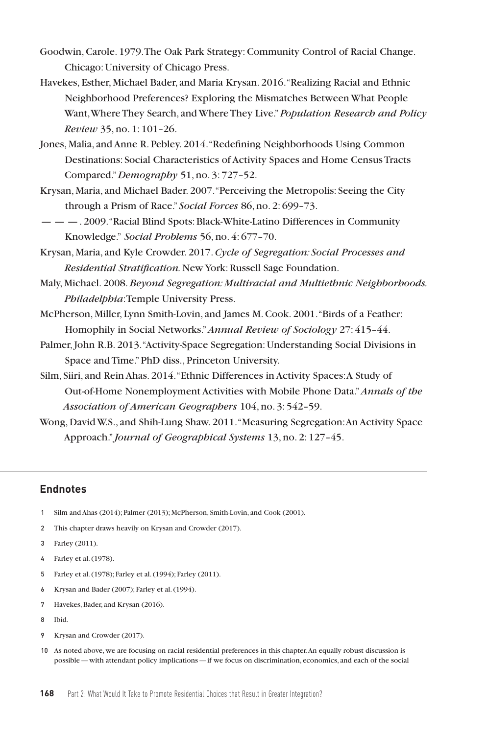- Goodwin, Carole. 1979. The Oak Park Strategy: Community Control of Racial Change. Chicago: University of Chicago Press.
- Havekes, Esther, Michael Bader, and Maria Krysan. 2016. "Realizing Racial and Ethnic Neighborhood Preferences? Exploring the Mismatches Between What People Want, Where They Search, and Where They Live." *Population Research and Policy Review* 35, no. 1: 101–26.
- Jones, Malia, and Anne R. Pebley. 2014. "Redefining Neighborhoods Using Common Destinations: Social Characteristics of Activity Spaces and Home Census Tracts Compared." *Demography* 51, no. 3: 727–52.
- Krysan, Maria, and Michael Bader. 2007. "Perceiving the Metropolis: Seeing the City through a Prism of Race." *Social Forces* 86, no. 2: 699–73.
- — —. 2009. "Racial Blind Spots: Black-White-Latino Differences in Community Knowledge." *Social Problems* 56, no. 4: 677–70.
- Krysan, Maria, and Kyle Crowder. 2017. *Cycle of Segregation: Social Processes and Residential Stratification.* New York: Russell Sage Foundation.
- Maly, Michael. 2008. *Beyond Segregation: Multiracial and Multiethnic Neighborhoods. Philadelphia*: Temple University Press.
- McPherson, Miller, Lynn Smith-Lovin, and James M. Cook. 2001. "Birds of a Feather: Homophily in Social Networks." *Annual Review of Sociology* 27: 415–44.
- Palmer, John R.B. 2013. "Activity-Space Segregation: Understanding Social Divisions in Space and Time." PhD diss., Princeton University.
- Silm, Siiri, and Rein Ahas. 2014. "Ethnic Differences in Activity Spaces: A Study of Out-of-Home Nonemployment Activities with Mobile Phone Data." *Annals of the Association of American Geographers* 104, no. 3: 542–59.
- Wong, David W.S., and Shih-Lung Shaw. 2011. "Measuring Segregation: An Activity Space Approach." *Journal of Geographical Systems* 13, no. 2: 127–45.

#### **Endnotes**

- 1 Silm and Ahas (2014); Palmer (2013); McPherson, Smith-Lovin, and Cook (2001).
- 2 This chapter draws heavily on Krysan and Crowder (2017).
- 3 Farley (2011).
- 4 Farley et al. (1978).
- 5 Farley et al. (1978); Farley et al. (1994); Farley (2011).
- 6 Krysan and Bader (2007); Farley et al. (1994).
- 7 Havekes, Bader, and Krysan (2016).
- 8 Ibid.
- 9 Krysan and Crowder (2017).
- 10 As noted above, we are focusing on racial residential preferences in this chapter. An equally robust discussion is possible—with attendant policy implications—if we focus on discrimination, economics, and each of the social